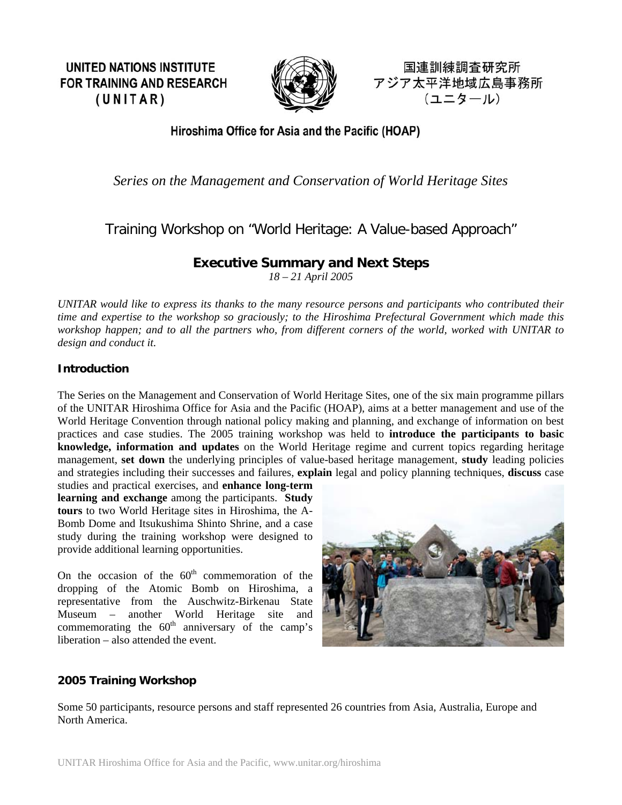**UNITED NATIONS INSTITUTE FOR TRAINING AND RESEARCH**  $(UNITAR)$ 



国連訓練調査研究所 アジア太平洋地域広島事務所 (ユニタール)

## Hiroshima Office for Asia and the Pacific (HOAP)

## *Series on the Management and Conservation of World Heritage Sites*

# Training Workshop on "World Heritage: A Value-based Approach"

## **Executive Summary and Next Steps**

*18 – 21 April 2005* 

*UNITAR would like to express its thanks to the many resource persons and participants who contributed their time and expertise to the workshop so graciously; to the Hiroshima Prefectural Government which made this workshop happen; and to all the partners who, from different corners of the world, worked with UNITAR to design and conduct it.* 

#### **Introduction**

The Series on the Management and Conservation of World Heritage Sites, one of the six main programme pillars of the UNITAR Hiroshima Office for Asia and the Pacific (HOAP), aims at a better management and use of the World Heritage Convention through national policy making and planning, and exchange of information on best practices and case studies. The 2005 training workshop was held to **introduce the participants to basic knowledge, information and updates** on the World Heritage regime and current topics regarding heritage management, **set down** the underlying principles of value-based heritage management, **study** leading policies and strategies including their successes and failures, **explain** legal and policy planning techniques, **discuss** case

studies and practical exercises, and **enhance long-term learning and exchange** among the participants. **Study tours** to two World Heritage sites in Hiroshima, the A-Bomb Dome and Itsukushima Shinto Shrine, and a case study during the training workshop were designed to provide additional learning opportunities.

On the occasion of the  $60<sup>th</sup>$  commemoration of the dropping of the Atomic Bomb on Hiroshima, a representative from the Auschwitz-Birkenau State Museum – another World Heritage site and commemorating the  $60<sup>th</sup>$  anniversary of the camp's liberation – also attended the event.



### **2005 Training Workshop**

Some 50 participants, resource persons and staff represented 26 countries from Asia, Australia, Europe and North America.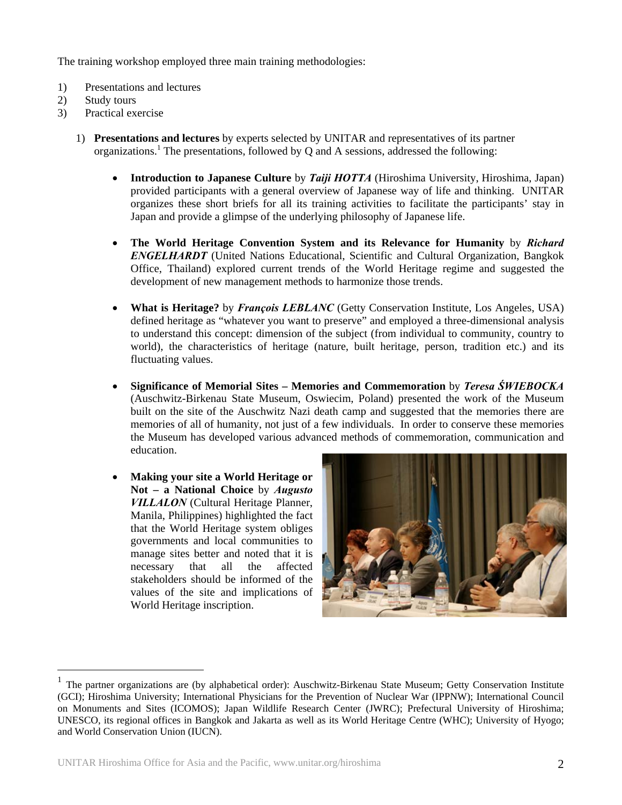The training workshop employed three main training methodologies:

- 1) Presentations and lectures
- 2) Study tours

 $\overline{a}$ 

- 3) Practical exercise
	- 1) **Presentations and lectures** by experts selected by UNITAR and representatives of its partner organizations.<sup>1</sup>The presentations, followed by Q and A sessions, addressed the following:
		- **Introduction to Japanese Culture** by *Taiji HOTTA* (Hiroshima University, Hiroshima, Japan) provided participants with a general overview of Japanese way of life and thinking. UNITAR organizes these short briefs for all its training activities to facilitate the participants' stay in Japan and provide a glimpse of the underlying philosophy of Japanese life.
		- **The World Heritage Convention System and its Relevance for Humanity** by *Richard ENGELHARDT* (United Nations Educational, Scientific and Cultural Organization, Bangkok Office, Thailand) explored current trends of the World Heritage regime and suggested the development of new management methods to harmonize those trends.
		- **What is Heritage?** by *François LEBLANC* (Getty Conservation Institute, Los Angeles, USA) defined heritage as "whatever you want to preserve" and employed a three-dimensional analysis to understand this concept: dimension of the subject (from individual to community, country to world), the characteristics of heritage (nature, built heritage, person, tradition etc.) and its fluctuating values.
		- **Significance of Memorial Sites Memories and Commemoration** by *Teresa ŚWIEBOCKA* (Auschwitz-Birkenau State Museum, Oswiecim, Poland) presented the work of the Museum built on the site of the Auschwitz Nazi death camp and suggested that the memories there are memories of all of humanity, not just of a few individuals. In order to conserve these memories the Museum has developed various advanced methods of commemoration, communication and education.
		- **Making your site a World Heritage or Not – a National Choice** by *Augusto VILLALON* (Cultural Heritage Planner, Manila, Philippines) highlighted the fact that the World Heritage system obliges governments and local communities to manage sites better and noted that it is necessary that all the affected stakeholders should be informed of the values of the site and implications of World Heritage inscription.



<span id="page-1-0"></span><sup>1</sup> The partner organizations are (by alphabetical order): Auschwitz-Birkenau State Museum; Getty Conservation Institute (GCI); Hiroshima University; International Physicians for the Prevention of Nuclear War (IPPNW); International Council on Monuments and Sites (ICOMOS); Japan Wildlife Research Center (JWRC); Prefectural University of Hiroshima; UNESCO, its regional offices in Bangkok and Jakarta as well as its World Heritage Centre (WHC); University of Hyogo; and World Conservation Union (IUCN).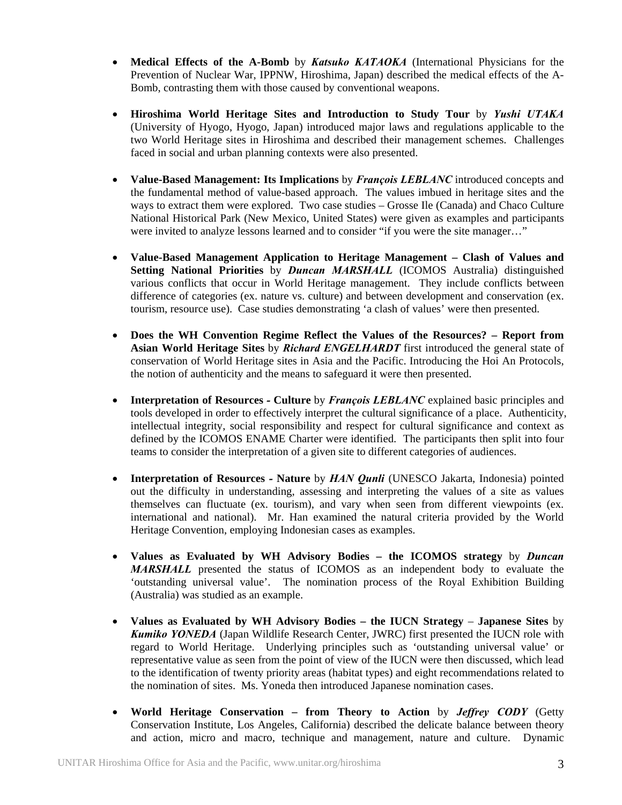- **Medical Effects of the A-Bomb** by *Katsuko KATAOKA* (International Physicians for the Prevention of Nuclear War, IPPNW, Hiroshima, Japan) described the medical effects of the A-Bomb, contrasting them with those caused by conventional weapons.
- **Hiroshima World Heritage Sites and Introduction to Study Tour** by *Yushi UTAKA* (University of Hyogo, Hyogo, Japan) introduced major laws and regulations applicable to the two World Heritage sites in Hiroshima and described their management schemes. Challenges faced in social and urban planning contexts were also presented.
- **Value-Based Management: Its Implications** by *François LEBLANC* introduced concepts and the fundamental method of value-based approach. The values imbued in heritage sites and the ways to extract them were explored. Two case studies – Grosse Ile (Canada) and Chaco Culture National Historical Park (New Mexico, United States) were given as examples and participants were invited to analyze lessons learned and to consider "if you were the site manager…"
- **Value-Based Management Application to Heritage Management Clash of Values and Setting National Priorities** by *Duncan MARSHALL* (ICOMOS Australia) distinguished various conflicts that occur in World Heritage management. They include conflicts between difference of categories (ex. nature vs. culture) and between development and conservation (ex. tourism, resource use). Case studies demonstrating 'a clash of values' were then presented.
- **Does the WH Convention Regime Reflect the Values of the Resources? Report from Asian World Heritage Sites** by *Richard ENGELHARDT* first introduced the general state of conservation of World Heritage sites in Asia and the Pacific. Introducing the Hoi An Protocols, the notion of authenticity and the means to safeguard it were then presented.
- **Interpretation of Resources****Culture** by *François LEBLANC* explained basic principles and tools developed in order to effectively interpret the cultural significance of a place. Authenticity, intellectual integrity, social responsibility and respect for cultural significance and context as defined by the ICOMOS ENAME Charter were identified. The participants then split into four teams to consider the interpretation of a given site to different categories of audiences.
- **Interpretation of Resources** *-* **Nature** by *HAN Qunli* (UNESCO Jakarta, Indonesia) pointed out the difficulty in understanding, assessing and interpreting the values of a site as values themselves can fluctuate (ex. tourism), and vary when seen from different viewpoints (ex. international and national). Mr. Han examined the natural criteria provided by the World Heritage Convention, employing Indonesian cases as examples.
- **Values as Evaluated by WH Advisory Bodies the ICOMOS strategy** by *Duncan MARSHALL* presented the status of ICOMOS as an independent body to evaluate the 'outstanding universal value'. The nomination process of the Royal Exhibition Building (Australia) was studied as an example.
- **Values as Evaluated by WH Advisory Bodies the IUCN Strategy Japanese Sites** by *Kumiko YONEDA* (Japan Wildlife Research Center, JWRC) first presented the IUCN role with regard to World Heritage. Underlying principles such as 'outstanding universal value' or representative value as seen from the point of view of the IUCN were then discussed, which lead to the identification of twenty priority areas (habitat types) and eight recommendations related to the nomination of sites. Ms. Yoneda then introduced Japanese nomination cases.
- **World Heritage Conservation from Theory to Action** by *Jeffrey CODY* (Getty Conservation Institute, Los Angeles, California) described the delicate balance between theory and action, micro and macro, technique and management, nature and culture. Dynamic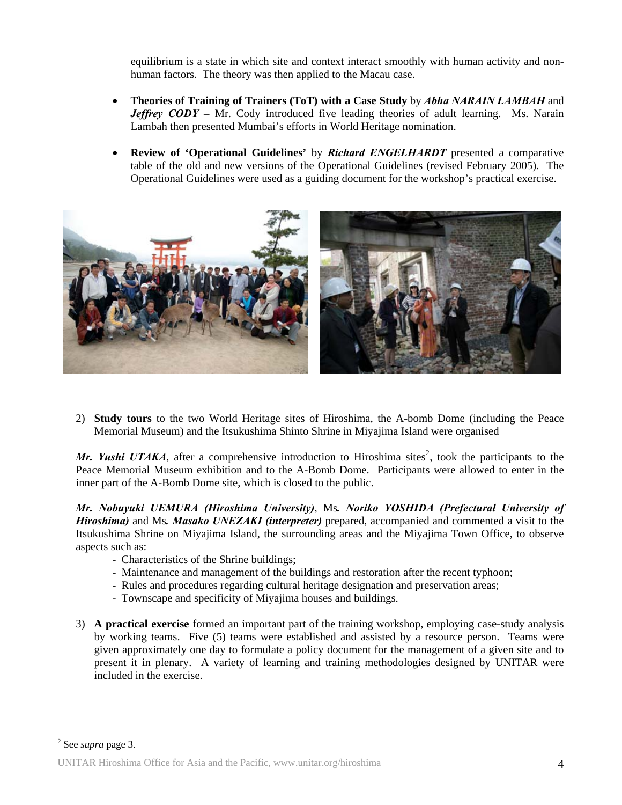equilibrium is a state in which site and context interact smoothly with human activity and nonhuman factors. The theory was then applied to the Macau case.

- **Theories of Training of Trainers (ToT) with a Case Study** by *Abha NARAIN LAMBAH* and *Jeffrey CODY –* Mr. Cody introduced five leading theories of adult learning. Ms. Narain Lambah then presented Mumbai's efforts in World Heritage nomination.
- **Review of 'Operational Guidelines'** by *Richard ENGELHARDT* presented a comparative table of the old and new versions of the Operational Guidelines (revised February 2005). The Operational Guidelines were used as a guiding document for the workshop's practical exercise.



2) **Study tours** to the two World Heritage sites of Hiroshima, the A-bomb Dome (including the Peace Memorial Museum) and the Itsukushima Shinto Shrine in Miyajima Island were organised

Mr. Yushi UTAKA[,](#page-3-0) after a comprehensive introduction to Hiroshima sites<sup>2</sup>, took the participants to the Peace Memorial Museum exhibition and to the A-Bomb Dome. Participants were allowed to enter in the inner part of the A-Bomb Dome site, which is closed to the public.

*Mr. Nobuyuki UEMURA (Hiroshima University)*, Ms*. Noriko YOSHIDA (Prefectural University of Hiroshima)* and Ms*. Masako UNEZAKI (interpreter)* prepared, accompanied and commented a visit to the Itsukushima Shrine on Miyajima Island, the surrounding areas and the Miyajima Town Office, to observe aspects such as:

- Characteristics of the Shrine buildings;
- Maintenance and management of the buildings and restoration after the recent typhoon;
- Rules and procedures regarding cultural heritage designation and preservation areas;
- Townscape and specificity of Miyajima houses and buildings.
- 3) **A practical exercise** formed an important part of the training workshop, employing case-study analysis by working teams. Five (5) teams were established and assisted by a resource person. Teams were given approximately one day to formulate a policy document for the management of a given site and to present it in plenary. A variety of learning and training methodologies designed by UNITAR were included in the exercise.

 $\overline{a}$ 

<span id="page-3-0"></span><sup>2</sup> See *supra* page 3.

UNITAR Hiroshima Office for Asia and the Pacific, www.unitar.org/hiroshima 4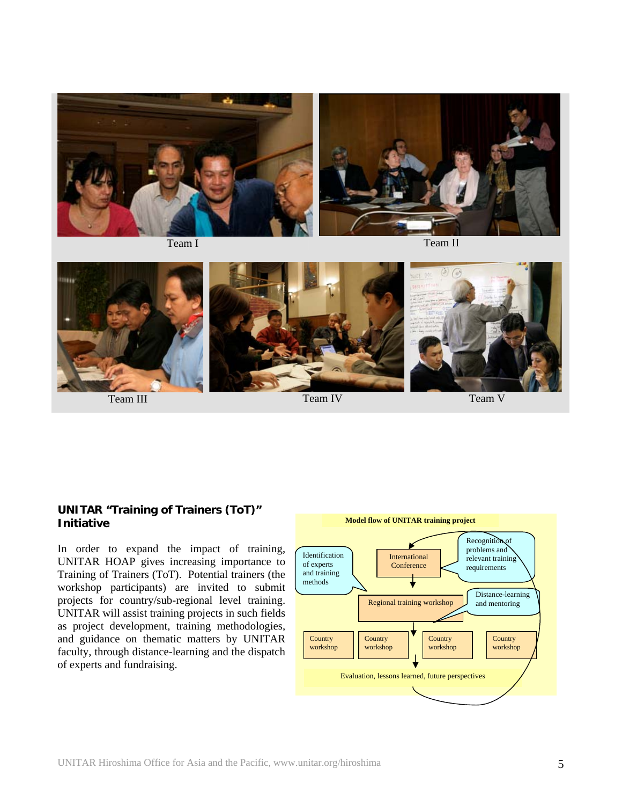



#### **UNITAR "Training of Trainers (ToT)" Initiative** *Model flow of UNITAR training project*

In order to expand the impact of training, UNITAR HOAP gives increasing importance to Training of Trainers (ToT). Potential trainers (the workshop participants) are invited to submit projects for country/sub-regional level training. UNITAR will assist training projects in such fields as project development, training methodologies, and guidance on thematic matters by UNITAR faculty, through distance-learning and the dispatch of experts and fundraising.